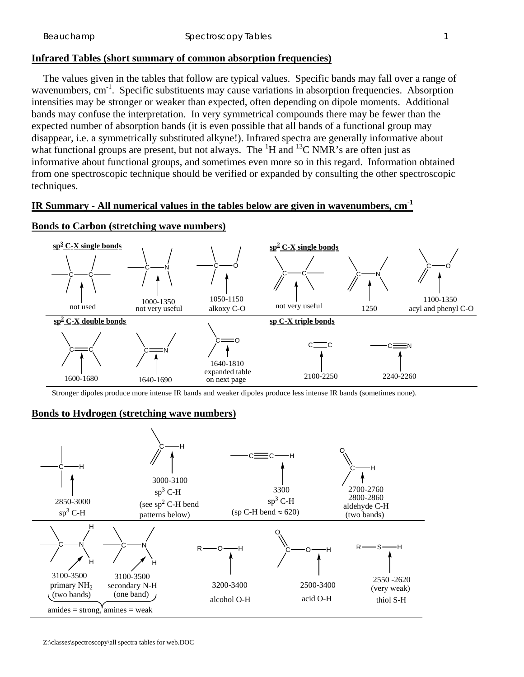## **Infrared Tables (short summary of common absorption frequencies)**

 The values given in the tables that follow are typical values. Specific bands may fall over a range of wavenumbers,  $cm^{-1}$ . Specific substituents may cause variations in absorption frequencies. Absorption intensities may be stronger or weaker than expected, often depending on dipole moments. Additional bands may confuse the interpretation. In very symmetrical compounds there may be fewer than the expected number of absorption bands (it is even possible that all bands of a functional group may disappear, i.e. a symmetrically substituted alkyne!). Infrared spectra are generally informative about what functional groups are present, but not always. The  ${}^{1}H$  and  ${}^{13}C$  NMR's are often just as informative about functional groups, and sometimes even more so in this regard. Information obtained from one spectroscopic technique should be verified or expanded by consulting the other spectroscopic techniques.

## **IR Summary - All numerical values in the tables below are given in wavenumbers, cm-1**



### **Bonds to Carbon (stretching wave numbers)**

Stronger dipoles produce more intense IR bands and weaker dipoles produce less intense IR bands (sometimes none).

## **Bonds to Hydrogen (stretching wave numbers)**



Z:\classes\spectroscopy\all spectra tables for web.DOC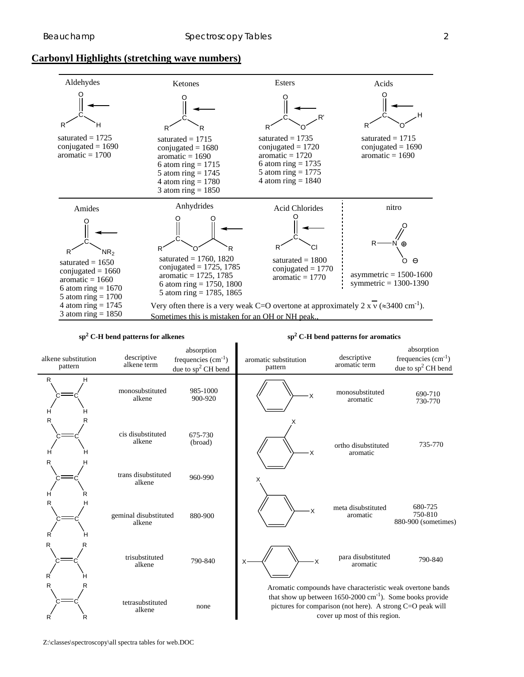### **Carbonyl Highlights (stretching wave numbers)**



#### $\text{sp}^2 \text{ C-H}$  bend patterns for alkenes sp<sup>2</sup>

 **C-H bend patterns for aromatics**

| alkene substitution<br>pattern | descriptive<br>alkene term      | absorption<br>frequencies $(cm-1)$<br>due to sp <sup>2</sup> CH bend | aromatic substitution<br>pattern | descriptive<br>aromatic term                                                                                                                                                                                                        | absorption<br>frequencies $(cm-1)$<br>due to $sp^2$ CH bend |
|--------------------------------|---------------------------------|----------------------------------------------------------------------|----------------------------------|-------------------------------------------------------------------------------------------------------------------------------------------------------------------------------------------------------------------------------------|-------------------------------------------------------------|
| R<br>Н<br>н<br>н               | monosubstituted<br>alkene       | 985-1000<br>900-920                                                  | Χ                                | monosubstituted<br>aromatic                                                                                                                                                                                                         | 690-710<br>730-770                                          |
| R<br>R<br>н<br>н               | cis disubstituted<br>alkene     | 675-730<br>(broad)                                                   | X                                | ortho disubstituted<br>aromatic                                                                                                                                                                                                     | 735-770                                                     |
| R<br>н<br>R<br>н               | trans disubstituted<br>alkene   | 960-990                                                              | x                                |                                                                                                                                                                                                                                     |                                                             |
| R<br>н<br>R<br>н               | geminal disubstituted<br>alkene | 880-900                                                              | X                                | meta disubstituted<br>aromatic                                                                                                                                                                                                      | 680-725<br>750-810<br>880-900 (sometimes)                   |
| R<br>R<br>R                    | trisubstituted<br>alkene        | 790-840                                                              | X<br>X                           | para disubstituted<br>aromatic                                                                                                                                                                                                      | 790-840                                                     |
| R<br>R<br>R                    | tetrasubstituted<br>alkene      | none                                                                 |                                  | Aromatic compounds have characteristic weak overtone bands<br>that show up between $1650-2000 \text{ cm}^{-1}$ ). Some books provide<br>pictures for comparison (not here). A strong C=O peak will<br>cover up most of this region. |                                                             |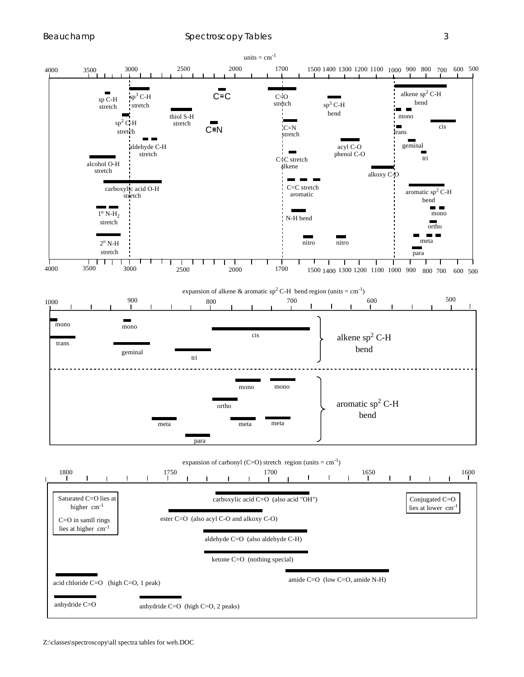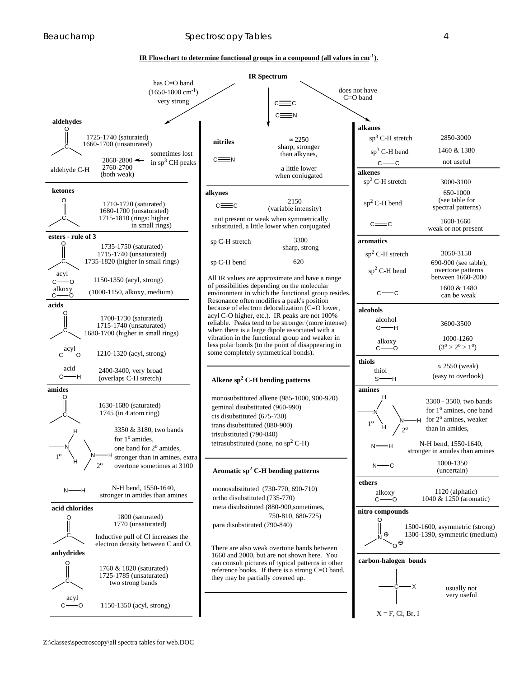#### Beauchamp Spectroscopy Tables 4 and 5 and 5 and 5 and 5 and 5 and 5 and 5 and 5 and 5 and 5 and 5 and 5 and 5 and 5 and 5 and 5 and 5 and 5 and 5 and 5 and 5 and 5 and 5 and 5 and 5 and 5 and 5 and 5 and 5 and 5 and 5 and

#### **IR Flowchart to determine functional groups in a compound (all values in cm-1 ).**

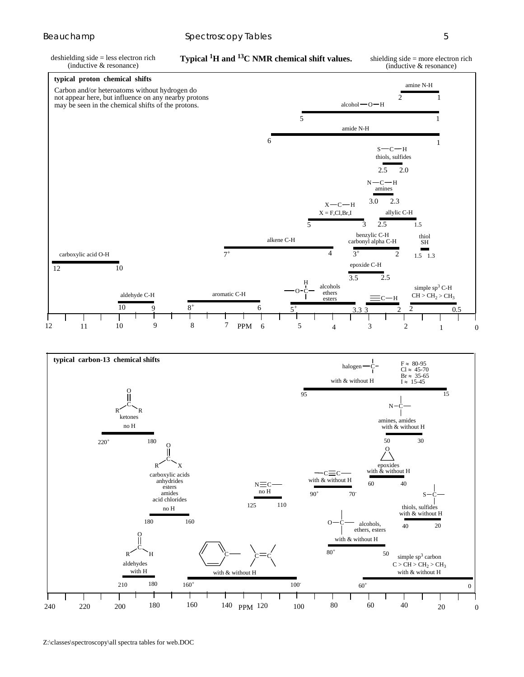deshielding side = less electron rich (inductive & resonance)

**Typical 1 H and 13C NMR chemical shift values.**

shielding side = more electron rich (inductive & resonance)



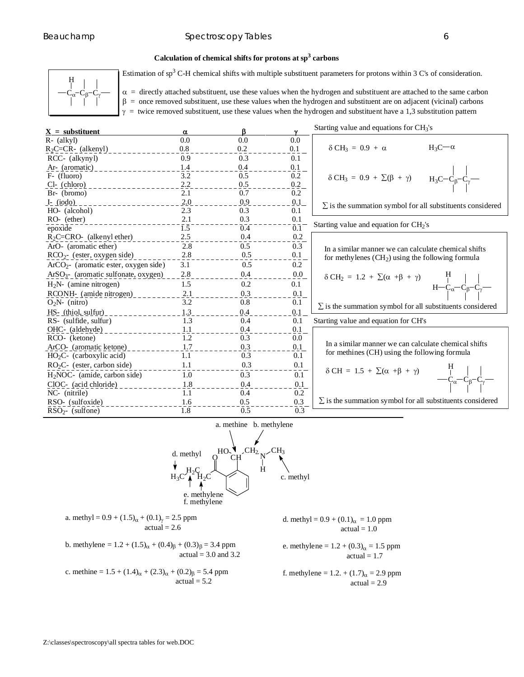#### Beauchamp Spectroscopy Tables 6 (Section 1991) 6 (Section 1991) 6 (Section 1991) 6 (Section 1991) 6 (Section 1

### **Calculation of chemical shifts for protons at sp<sup>3</sup> carbons**



Estimation of  $sp<sup>3</sup>$  C-H chemical shifts with multiple substituent parameters for protons within 3 C's of consideration.

 $\alpha$  = directly attached substituent, use these values when the hydrogen and substituent are attached to the same carbon  $β = once removed substitutent, use these values when the hydrogen and substituent are on adjacent (vicinal) carbons$  $\gamma$  = twice removed substituent, use these values when the hydrogen and substituent have a 1,3 substitution pattern

| $X =$ substituent                       | $\alpha$         | ß   |                   | Starting value and equations for $CH3's$                         |
|-----------------------------------------|------------------|-----|-------------------|------------------------------------------------------------------|
| $R - (alkyl)$                           | 0.0              | 0.0 | 0.0               |                                                                  |
| $R_2C=CR$ - (alkenyl)                   | 0.8              | 0.2 | 0.1               | $\delta$ CH <sub>3</sub> = 0.9 + $\alpha$<br>$H_3C - \alpha$     |
| RCC- (alkynyl)                          | 0.9              | 0.3 | 0.1               |                                                                  |
| Ar- (aromatic)                          | 1.4              | 0.4 | 0.1               |                                                                  |
| F- (fluoro)                             | 3.2              | 0.5 | 0.2               | $δ CH3 = 0.9 + Σ(β + γ)$ $H3C-Cβ-Cγ-1/1$                         |
| $Cl-$ (chloro)                          | 2.2              | 0.5 | 0.2               |                                                                  |
| $Br- (bromo)$                           | 2.1              | 0.7 | 0.2               |                                                                  |
| <u>I- (iodo)</u>                        | 2.0              | 0.9 | 0.1               | $\Sigma$ is the summation symbol for all substituents considered |
| HO- (alcohol)                           | 2.3              | 0.3 | 0.1               |                                                                  |
| $RO-$ (ether)                           | 2.1              | 0.3 | 0.1               |                                                                  |
| epoxide                                 | $\overline{1.5}$ | 0.4 | $\bar{0}.\bar{1}$ | Starting value and equation for $CH2's$                          |
| $R_2C=CRO-$ (alkenyl ether)             | 2.5              | 0.4 | 0.2               |                                                                  |
| ArO- (aromatic ether)                   | 2.8              | 0.5 | 0.3               | In a similar manner we can calculate chemical shifts             |
| $RCO2$ - (ester, oxygen side)           | 2.8              | 0.5 | 0.1               | for methylenes $(CH2)$ using the following formula               |
| $ArCO2$ - (aromatic ester, oxygen side) | 3.1              | 0.5 | 0.2               |                                                                  |
| $ArSO3$ - (aromatic sulfonate, oxygen)  | 2.8              | 0.4 | 0.0               | $δ CH2 = 1.2 + Σ(α + β + γ)$<br>$H-Cα-Cβ-Cγ-γ$                   |
| $H_2N$ - (amine nitrogen)               | 1.5              | 0.2 | 0.1               |                                                                  |
| RCONH- (amide nitrogen)                 | 2.1              | 0.3 | 0.1               |                                                                  |
| $O_2N$ - (nitro)                        | 3.2              | 0.8 | 0.1               | $\Sigma$ is the summation symbol for all substituents considered |
| HS- (thiol, sulfur)                     | 1.3              | 0.4 | 0.1               |                                                                  |
| RS- (sulfide, sulfur)                   | 1.3              | 0.4 | 0.1               | Starting value and equation for CH's                             |
| OHC- (aldehyde)                         | 1.1              | 0.4 | 0.1               |                                                                  |
| RCO- (ketone)                           | 1.2              | 0.3 | $0.0\,$           |                                                                  |
| ArCO- (aromatic ketone)                 | 1.7              | 0.3 | 0.1               | In a similar manner we can calculate chemical shifts             |
| $HO_2C$ - (carboxylic acid)             | 1.1              | 0.3 | 0.1               | for methines (CH) using the following formula                    |
| $RO2C-$ (ester, carbon side)            | 1.1              | 0.3 | 0.1               |                                                                  |
| $H_2NOC$ - (amide, carbon side)         | 1.0              | 0.3 | 0.1               |                                                                  |
| ClOC- (acid chloride)                   | 1.8              | 0.4 | 0.1               |                                                                  |
| NC- (nitrile)                           | 1.1              | 0.4 | 0.2               |                                                                  |
| RSO- (sulfoxide)                        | 1.6              | 0.5 | 0.3               | $\Sigma$ is the summation symbol for all substituents considered |
| $RSO2$ (sulfone)                        | 1.8              | 0.5 | 0.3               |                                                                  |



a. methyl =  $0.9 + (1.5)<sub>\alpha</sub> + (0.1)<sub>\gamma</sub> = 2.5$  ppm  $actual = 2.6$ b. methylene =  $1.2 + (1.5)_{\alpha} + (0.4)_{\beta} + (0.3)_{\beta} = 3.4$  ppm actual  $= 3.0$  and  $3.2$ c. methine =  $1.5 + (1.4)_{\alpha} + (2.3)_{\alpha} + (0.2)_{\beta} = 5.4$  ppm  $actual = 5.2$ d. methyl =  $0.9 + (0.1)<sub>\alpha</sub> = 1.0$  ppm  $actual = 1.0$ e. methylene =  $1.2 + (0.3)<sub>\alpha</sub> = 1.5$  ppm  $actual = 1.7$ f. methylene =  $1.2. + (1.7)_{\alpha} = 2.9$  ppm  $actual = 2.9$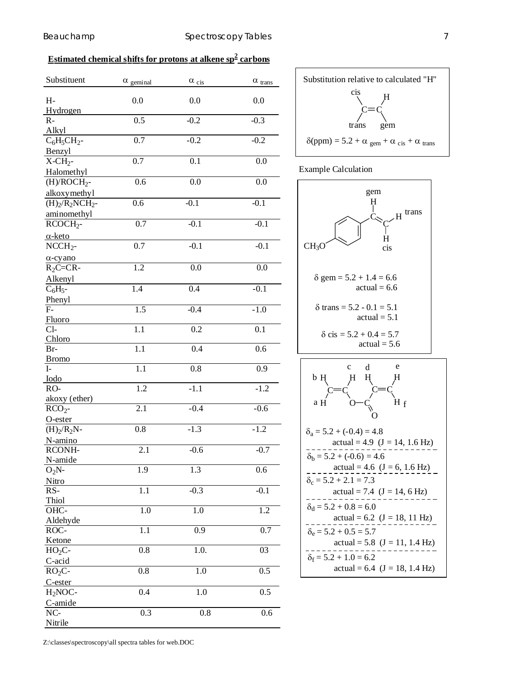# **Estimated chemical shifts for protons at alkene sp<sup>2</sup> carbons**

| Substituent                   | $\alpha$ geminal | $\alpha$ cis     | $\alpha$ $_{\rm trans}$ |
|-------------------------------|------------------|------------------|-------------------------|
| $H-$                          | 0.0              | 0.0              | 0.0                     |
| Hydrogen<br>$R -$             | 0.5              | $-0.2$           | $-0.3$                  |
|                               |                  |                  |                         |
| Alkyl                         |                  |                  |                         |
| $C_6H_5CH_2$ -                | 0.7              | $-0.2$           | $-0.2$                  |
| Benzyl                        |                  |                  |                         |
| $X$ -CH <sub>2</sub> -        | 0.7              | 0.1              | 0.0                     |
| Halomethyl                    |                  |                  |                         |
| $(H)/ROCH2$ -                 | 0.6              | 0.0              | 0.0                     |
| alkoxymethyl                  |                  |                  |                         |
| $\overline{(H)_2/R_2NCH_2}$ - | 0.6              | $-0.1$           | $-0.1$                  |
| aminomethyl                   |                  |                  |                         |
| $RCOCH2$ -                    | 0.7              | $-0.1$           | $-0.1$                  |
|                               |                  |                  |                         |
| $\alpha$ -keto                |                  |                  |                         |
| $NCH2$ -                      | 0.7              | $-0.1$           | $-0.1$                  |
| $\alpha$ -cyano               |                  |                  |                         |
| $R_2C=CR$                     | $\overline{1.2}$ | $\overline{0.0}$ | $\overline{0.0}$        |
| Alkenyl                       |                  |                  |                         |
| $\overline{C_6H_{5^-}}$       | 1.4              | 0.4              | $-0.1$                  |
| Phenyl                        |                  |                  |                         |
| $F -$                         | 1.5              | $-0.4$           | $-1.0$                  |
|                               |                  |                  |                         |
| Fluoro<br>$Cl-$               | 1.1              | 0.2              |                         |
|                               |                  |                  | 0.1                     |
| Chloro                        |                  |                  |                         |
| Br-                           | 1.1              | 0.4              | 0.6                     |
| <b>Bromo</b>                  |                  |                  |                         |
| $\mathbf{I}$                  | 1.1              | 0.8              | 0.9                     |
| Iodo                          |                  |                  |                         |
| RO-                           | 1.2              | $-1.1$           | $-1.2$                  |
| akoxy (ether)                 |                  |                  |                         |
| $RCO2$ -                      | $\overline{2.1}$ | $-0.4$           | $-0.6$                  |
| O-ester                       |                  |                  |                         |
| $(H)2/R2N-$                   | 0.8              | $-1.3$           | $-1.2$                  |
| N-amino                       |                  |                  |                         |
| RCONH-                        | 2.1              | $-0.6$           | $-0.7$                  |
| N-amide                       |                  |                  |                         |
| $O_2N$ -                      | 1.9              | 1.3              | 0.6                     |
| Nitro                         |                  |                  |                         |
| RS-                           | $\overline{1.1}$ | $-0.3$           | $-0.1$                  |
|                               |                  |                  |                         |
| Thiol                         |                  |                  |                         |
| OHC-                          | 1.0              | 1.0              | 1.2                     |
| Aldehyde                      |                  |                  |                         |
| $\overline{ROC}$              | $\overline{1}.1$ | 0.9              | 0.7                     |
| Ketone                        |                  |                  |                         |
| $HO_2C$ -                     | 0.8              | 1.0.             | 03                      |
| C-acid                        |                  |                  |                         |
| $RO2C-$                       | 0.8              | 1.0              | 0.5                     |
| C-ester                       |                  |                  |                         |
| $H2NOC-$                      | 0.4              | 1.0              | 0.5                     |
| C-amide                       |                  |                  |                         |
| NC-                           | 0.3              | 0.8              | 0.6                     |
| Nitrile                       |                  |                  |                         |
|                               |                  |                  |                         |



Example Calculation



Z:\classes\spectroscopy\all spectra tables for web.DOC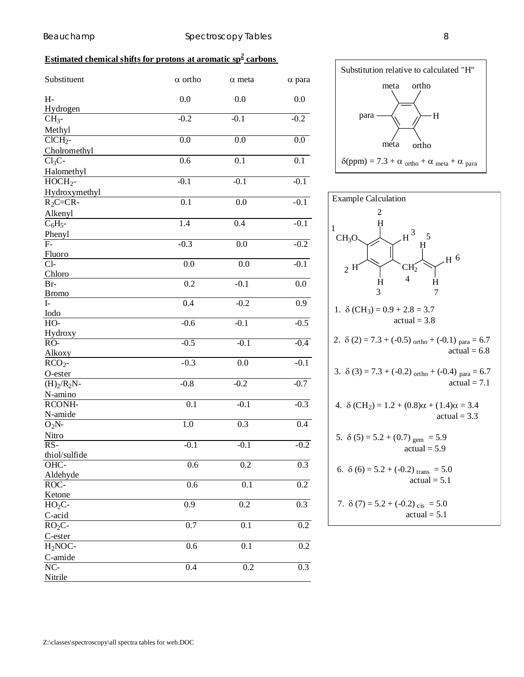## **Estimated chemical shifts for protons at aromatic sp<sup>2</sup> carbons**

| Substituent            | $\alpha$ ortho   | $\alpha$ meta    | $\alpha$ para    |
|------------------------|------------------|------------------|------------------|
| $H-$                   | 0.0              | 0.0              | 0.0              |
| Hydrogen               |                  |                  |                  |
| $CH3$ -                | $-0.2$           | $-0.1$           | $-0.2$           |
| Methyl                 |                  |                  |                  |
| $CICH_{2}$ -           | $\overline{0.0}$ | $\overline{0.0}$ | $\overline{0.0}$ |
| Cholromethyl           |                  |                  |                  |
| $Cl3C-$                | 0.6              | 0.1              | 0.1              |
| Halomethyl             |                  |                  |                  |
| $HOCH2$ -              | $-0.1$           | $-0.1$           | $-0.1$           |
| Hydroxymethyl          |                  |                  |                  |
| $R_2C=CR$ -            | 0.1              | 0.0              | $-0.1$           |
| Alkenyl                |                  |                  |                  |
| $C_6H_5$ -             | $\overline{1.4}$ | 0.4              | $-0.1$           |
| Phenyl                 |                  |                  |                  |
| $F-$                   | $-0.3$           | 0.0              | $-0.2$           |
| Fluoro                 |                  |                  |                  |
| $Cl-$                  | 0.0              | 0.0              | $-0.1$           |
| Chloro                 |                  |                  |                  |
| $Br-$                  | 0.2              | $-0.1$           | 0.0              |
| <b>Bromo</b>           |                  |                  |                  |
| $I-$                   | 0.4              | $-0.2$           | 0.9              |
| Iodo                   |                  |                  |                  |
| HO-                    | $-0.6$           | $-0.1$           | $-0.5$           |
| Hydroxy                |                  |                  |                  |
| $RO-$                  | $-0.5$           | $-0.1$           | $-0.4$           |
| Alkoxy                 |                  |                  |                  |
| $RCO2$ -               | $-0.3$           | 0.0              | $-0.1$           |
| O-ester                |                  |                  |                  |
| $(H)2/R2N-$            | $-0.8$           | $-0.2$           | $-0.7$           |
| N-amino                |                  |                  |                  |
| RCONH-                 | 0.1              | $-0.1$           | $-0.3$           |
|                        |                  |                  |                  |
| N-amide                | 1.0              | $\overline{0.3}$ | 0.4              |
| $O_2N$ -               |                  |                  |                  |
| Nitro                  |                  |                  |                  |
| $RS-$                  | $-0.1$           | $-0.1$           | $-0.2$           |
| thiol/sulfide          |                  |                  |                  |
| OHC-                   | $\overline{0.6}$ | 0.2              | 0.3              |
| Aldehyde               |                  |                  |                  |
| ROC-                   | 0.6              | $\overline{0.1}$ | $\overline{0.2}$ |
| Ketone                 |                  |                  |                  |
| $HO2C-$                | 0.9              | 0.2              | 0.3              |
| C-acid                 |                  |                  |                  |
| $\overline{RO_2C}$     | 0.7              | $\overline{0.1}$ | $\overline{0.2}$ |
| C-ester                |                  |                  |                  |
| $H2NOC-$               | 0.6              | 0.1              | $\overline{0.2}$ |
| C-amide                |                  |                  |                  |
| $\overline{\text{NC}}$ | 0.4              | $\overline{0.2}$ | $\overline{0.3}$ |
| Nitrile                |                  |                  |                  |



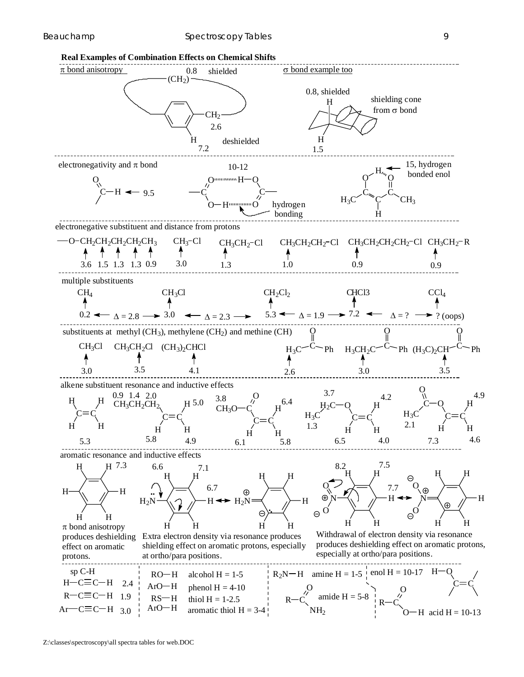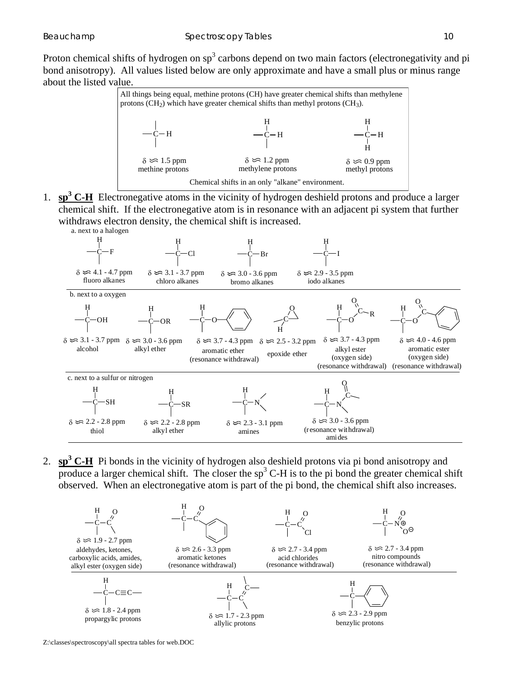Proton chemical shifts of hydrogen on  $sp<sup>3</sup>$  carbons depend on two main factors (electronegativity and pi bond anisotropy). All values listed below are only approximate and have a small plus or minus range about the listed value.



1. **sp<sup>3</sup> C-H** Electronegative atoms in the vicinity of hydrogen deshield protons and produce a larger chemical shift. If the electronegative atom is in resonance with an adjacent pi system that further withdraws electron density, the chemical shift is increased.



2.  $\mathbf{sp}^3 \mathbf{C} \cdot \mathbf{H}$  Pi bonds in the vicinity of hydrogen also deshield protons via pi bond anisotropy and produce a larger chemical shift. The closer the  $sp<sup>3</sup>$  C-H is to the pi bond the greater chemical shift observed. When an electronegative atom is part of the pi bond, the chemical shift also increases.



Z:\classes\spectroscopy\all spectra tables for web.DOC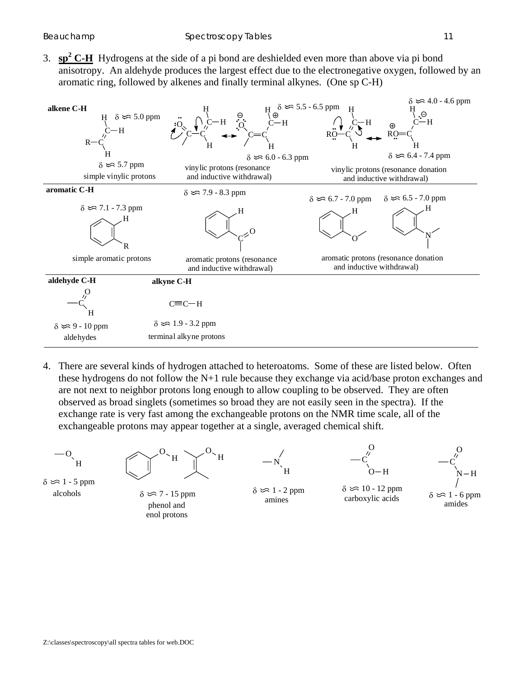3.  $\mathbf{sp}^2 \mathbf{C} \cdot \mathbf{H}$  Hydrogens at the side of a pi bond are deshielded even more than above via pi bond anisotropy. An aldehyde produces the largest effect due to the electronegative oxygen, followed by an aromatic ring, followed by alkenes and finally terminal alkynes. (One sp C-H)



4. There are several kinds of hydrogen attached to heteroatoms. Some of these are listed below. Often these hydrogens do not follow the N+1 rule because they exchange via acid/base proton exchanges and are not next to neighbor protons long enough to allow coupling to be observed. They are often observed as broad singlets (sometimes so broad they are not easily seen in the spectra). If the exchange rate is very fast among the exchangeable protons on the NMR time scale, all of the exchangeable protons may appear together at a single, averaged chemical shift.

 $-O_{\mathcal{L}}$ H

 alcohols  $\delta \approx 1 - 5$  ppm



 phenol and enol protons  $\delta \approx 7 - 15$  ppm









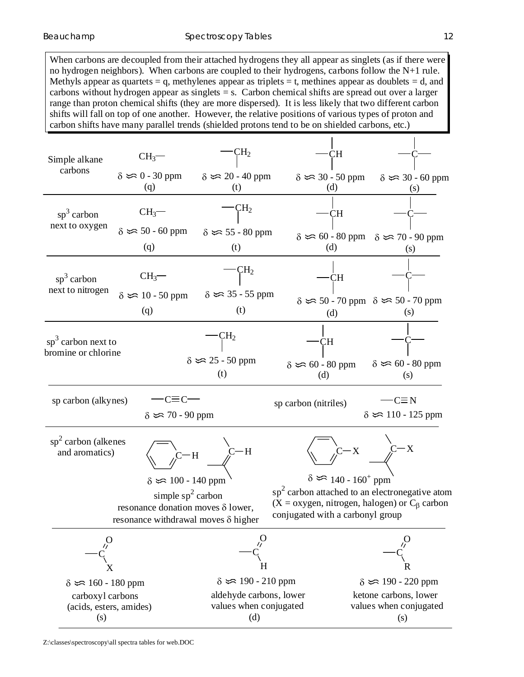When carbons are decoupled from their attached hydrogens they all appear as singlets (as if there were no hydrogen neighbors). When carbons are coupled to their hydrogens, carbons follow the N+1 rule. Methyls appear as quartets  $= q$ , methylenes appear as triplets  $= t$ , methines appear as doublets  $= d$ , and carbons without hydrogen appear as singlets = s. Carbon chemical shifts are spread out over a larger range than proton chemical shifts (they are more dispersed). It is less likely that two different carbon shifts will fall on top of one another. However, the relative positions of various types of proton and carbon shifts have many parallel trends (shielded protons tend to be on shielded carbons, etc.)

 $\mathbf{I}$ 

| Simple alkane                                                                                                                                                                                                                                                                                                                         | $CH3$ -                                      | $CH_{2}$                                                                                   | JН                                  |                                                                                          |  |
|---------------------------------------------------------------------------------------------------------------------------------------------------------------------------------------------------------------------------------------------------------------------------------------------------------------------------------------|----------------------------------------------|--------------------------------------------------------------------------------------------|-------------------------------------|------------------------------------------------------------------------------------------|--|
| carbons                                                                                                                                                                                                                                                                                                                               | $\delta \approx 0 - 30$ ppm<br>(q)           | $\delta \approx 20 - 40$ ppm<br>(t)                                                        | $\delta \approx 30 - 50$ ppm<br>(d) | $\delta \approx 30 - 60$ ppm<br>(S)                                                      |  |
| $sp^3$ carbon                                                                                                                                                                                                                                                                                                                         | CH <sub>3</sub>                              | $\rm CH_{2}$                                                                               | CН                                  |                                                                                          |  |
| next to oxygen                                                                                                                                                                                                                                                                                                                        | $\delta \approx 50 - 60$ ppm<br>(q)          | $\delta \approx 55 - 80$ ppm<br>(t)                                                        | (d)                                 | $\delta \approx 60 - 80$ ppm $\delta \approx 70 - 90$ ppm<br>(s)                         |  |
| $sp3$ carbon<br>next to nitrogen                                                                                                                                                                                                                                                                                                      | $CH_3$ –                                     | $\mathrm{CH}_2$                                                                            | CH                                  |                                                                                          |  |
|                                                                                                                                                                                                                                                                                                                                       | $\delta \approx 10 - 50$ ppm<br>(q)          | $\delta \approx 35 - 55$ ppm<br>(t)                                                        | (d)                                 | $\delta \approx 50 - 70$ ppm $\delta \approx 50 - 70$ ppm<br>(s)                         |  |
| $sp3$ carbon next to<br>bromine or chlorine                                                                                                                                                                                                                                                                                           |                                              | $H_2$<br>$\delta \approx 25 - 50$ ppm                                                      | CН                                  | $\delta \approx 60 - 80$ ppm                                                             |  |
|                                                                                                                                                                                                                                                                                                                                       |                                              | (t)                                                                                        | $\delta \approx 60 - 80$ ppm<br>(d) | (s)                                                                                      |  |
| sp carbon (alkynes)                                                                                                                                                                                                                                                                                                                   | $C \equiv C$<br>$\delta \approx 70 - 90$ ppm |                                                                                            | sp carbon (nitriles)                | -C≡ N<br>$\delta \approx 110 - 125$ ppm                                                  |  |
| $sp2$ carbon (alkenes<br>and aromatics)                                                                                                                                                                                                                                                                                               |                                              | $-H$                                                                                       | $\mathbf{X}^-$                      | $C - X$                                                                                  |  |
| $\delta \approx 140 - 160^+$ ppm<br>$\delta \approx 100 - 140$ ppm<br>$sp2$ carbon attached to an electronegative atom<br>simple $sp^2$ carbon<br>$(X = oxygen, nitrogen, halogen)$ or $C_\beta$ carbon<br>resonance donation moves $\delta$ lower,<br>conjugated with a carbonyl group<br>resonance withdrawal moves $\delta$ higher |                                              |                                                                                            |                                     |                                                                                          |  |
|                                                                                                                                                                                                                                                                                                                                       |                                              | H                                                                                          |                                     |                                                                                          |  |
| $\delta \approx 160 - 180$ ppm<br>carboxyl carbons<br>(acids, esters, amides)<br>(s)                                                                                                                                                                                                                                                  |                                              | $\delta \approx 190 - 210$ ppm<br>aldehyde carbons, lower<br>values when conjugated<br>(d) |                                     | $\delta \approx 190 - 220$ ppm<br>ketone carbons, lower<br>values when conjugated<br>(s) |  |

 $\mathbf{I}$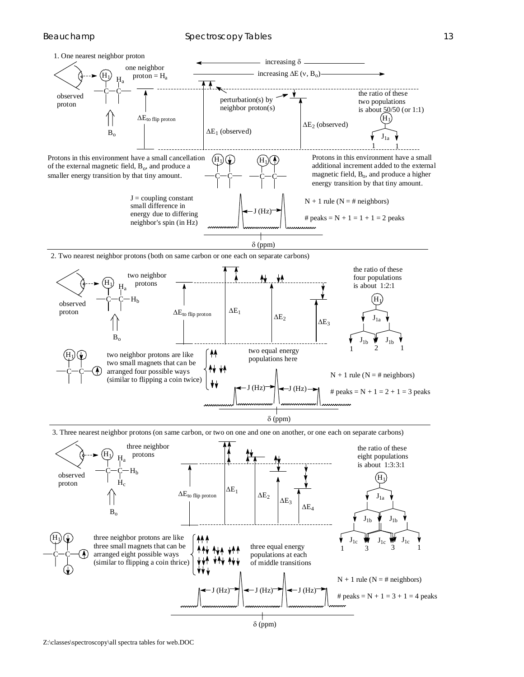

populations at each of middle transitions

 $N + 1$  rule ( $N = #$  neighbors)

# peaks =  $N + 1 = 3 + 1 = 4$  peaks

δ (ppm)

 $(H_7) \rightarrow$   $\rightarrow$   $I(H_7) \rightarrow$   $\rightarrow$   $I(H_7)$ 



arranged eight possible ways (similar to flipping a coin thrice)

 $c$  -  $c$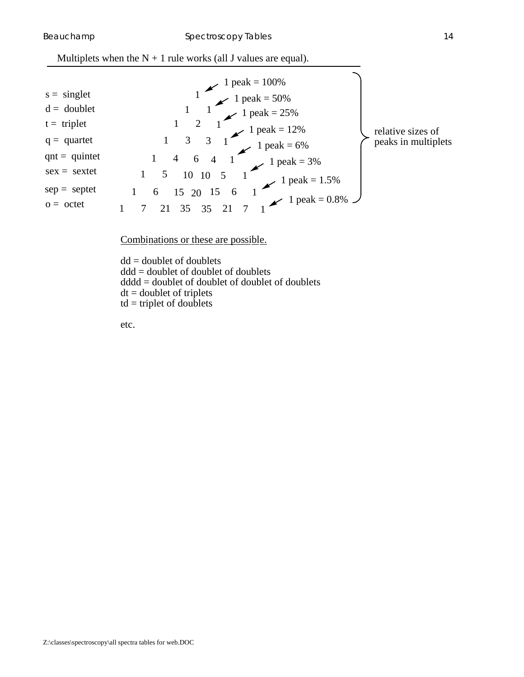| $s = singlet$   |                                                                                   |                     |
|-----------------|-----------------------------------------------------------------------------------|---------------------|
| $d =$ doublet   |                                                                                   |                     |
| $t = triplet$   |                                                                                   | relative sizes of   |
| $q =$ quartet   | 1 peak = 100%<br>1 peak = 50%<br>1 peak = 25%<br>1 peak = 12%<br>1 peak = 6%<br>3 | peaks in multiplets |
| $qnt = quintet$ | $\swarrow$ 1 peak = 3%<br>6                                                       |                     |
| $sex = sextet$  | 10                                                                                |                     |
| $sep = septet$  | $15 \t 1$ peak = 1.5%<br>6                                                        |                     |
| $o = octet$     | $35 \t 35 \t 21 \t 7 \t 1 peak = 0.8\%$                                           |                     |

Combinations or these are possible.

 $dd = doublet$  of doublets ddd = doublet of doublet of doublets dddd = doublet of doublet of doublet of doublets  $dt =$  doublet of triplets  $td = triplet of doublets$ 

etc.